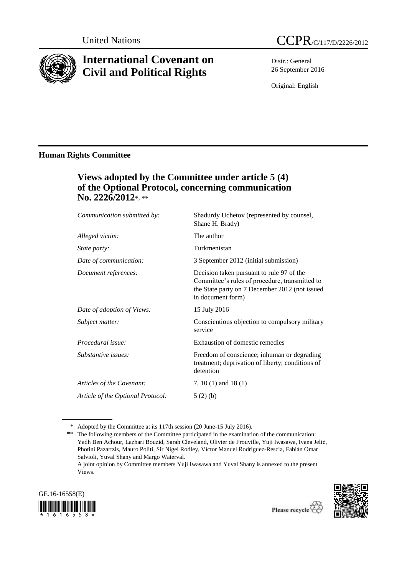

# **International Covenant on Civil and Political Rights**



Distr.: General 26 September 2016

Original: English

## **Human Rights Committee**

# **Views adopted by the Committee under article 5 (4) of the Optional Protocol, concerning communication No. 2226/2012**\*, \*\*

| Shadurdy Uchetov (represented by counsel,<br>Shane H. Brady)                                                                                                       |
|--------------------------------------------------------------------------------------------------------------------------------------------------------------------|
| The author                                                                                                                                                         |
| Turkmenistan                                                                                                                                                       |
| 3 September 2012 (initial submission)                                                                                                                              |
| Decision taken pursuant to rule 97 of the<br>Committee's rules of procedure, transmitted to<br>the State party on 7 December 2012 (not issued<br>in document form) |
| 15 July 2016                                                                                                                                                       |
| Conscientious objection to compulsory military<br>service                                                                                                          |
| Exhaustion of domestic remedies                                                                                                                                    |
| Freedom of conscience; inhuman or degrading<br>treatment; deprivation of liberty; conditions of<br>detention                                                       |
| 7, 10 (1) and 18 (1)                                                                                                                                               |
| 5(2)(b)                                                                                                                                                            |
|                                                                                                                                                                    |

\* Adopted by the Committee at its 117th session (20 June-15 July 2016).

A joint opinion by Committee members Yuji Iwasawa and Yuval Shany is annexed to the present Views.





<sup>\*\*</sup> The following members of the Committee participated in the examination of the communication: Yadh Ben Achour, Lazhari Bouzid, Sarah Cleveland, Olivier de Frouville, Yuji Iwasawa, Ivana Jelić, Photini Pazartzis, Mauro Politi, Sir Nigel Rodley, Víctor Manuel Rodríguez-Rescia, Fabián Omar Salvioli, Yuval Shany and Margo Waterval.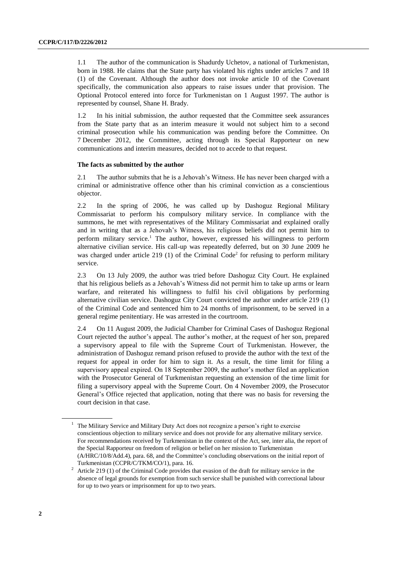1.1 The author of the communication is Shadurdy Uchetov, a national of Turkmenistan, born in 1988. He claims that the State party has violated his rights under articles 7 and 18 (1) of the Covenant. Although the author does not invoke article 10 of the Covenant specifically, the communication also appears to raise issues under that provision. The Optional Protocol entered into force for Turkmenistan on 1 August 1997. The author is represented by counsel, Shane H. Brady.

1.2 In his initial submission, the author requested that the Committee seek assurances from the State party that as an interim measure it would not subject him to a second criminal prosecution while his communication was pending before the Committee. On 7 December 2012, the Committee, acting through its Special Rapporteur on new communications and interim measures, decided not to accede to that request.

### **The facts as submitted by the author**

2.1 The author submits that he is a Jehovah's Witness. He has never been charged with a criminal or administrative offence other than his criminal conviction as a conscientious objector.

2.2 In the spring of 2006, he was called up by Dashoguz Regional Military Commissariat to perform his compulsory military service. In compliance with the summons, he met with representatives of the Military Commissariat and explained orally and in writing that as a Jehovah's Witness, his religious beliefs did not permit him to perform military service.<sup>1</sup> The author, however, expressed his willingness to perform alternative civilian service. His call-up was repeatedly deferred, but on 30 June 2009 he was charged under article 219 (1) of the Criminal Code<sup>2</sup> for refusing to perform military service.

2.3 On 13 July 2009, the author was tried before Dashoguz City Court. He explained that his religious beliefs as a Jehovah's Witness did not permit him to take up arms or learn warfare, and reiterated his willingness to fulfil his civil obligations by performing alternative civilian service. Dashoguz City Court convicted the author under article 219 (1) of the Criminal Code and sentenced him to 24 months of imprisonment, to be served in a general regime penitentiary. He was arrested in the courtroom.

2.4 On 11 August 2009, the Judicial Chamber for Criminal Cases of Dashoguz Regional Court rejected the author's appeal. The author's mother, at the request of her son, prepared a supervisory appeal to file with the Supreme Court of Turkmenistan. However, the administration of Dashoguz remand prison refused to provide the author with the text of the request for appeal in order for him to sign it. As a result, the time limit for filing a supervisory appeal expired. On 18 September 2009, the author's mother filed an application with the Prosecutor General of Turkmenistan requesting an extension of the time limit for filing a supervisory appeal with the Supreme Court. On 4 November 2009, the Prosecutor General's Office rejected that application, noting that there was no basis for reversing the court decision in that case.

<sup>&</sup>lt;sup>1</sup> The Military Service and Military Duty Act does not recognize a person's right to exercise conscientious objection to military service and does not provide for any alternative military service. For recommendations received by Turkmenistan in the context of the Act, see, inter alia, the report of the Special Rapporteur on freedom of religion or belief on her mission to Turkmenistan (A/HRC/10/8/Add.4), para. 68, and the Committee's concluding observations on the initial report of

Turkmenistan (CCPR/C/TKM/CO/1), para. 16. <sup>2</sup> Article 219 (1) of the Criminal Code provides that evasion of the draft for military service in the absence of legal grounds for exemption from such service shall be punished with correctional labour for up to two years or imprisonment for up to two years.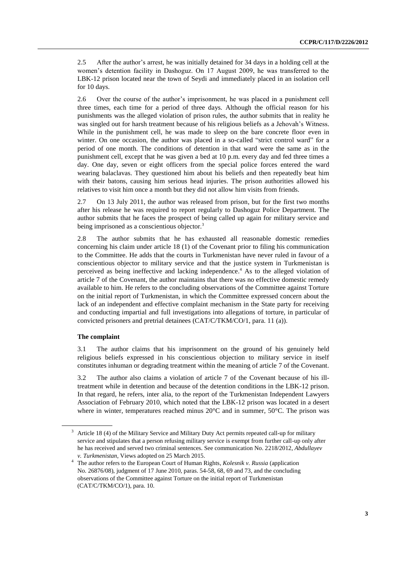2.5 After the author's arrest, he was initially detained for 34 days in a holding cell at the women's detention facility in Dashoguz. On 17 August 2009, he was transferred to the LBK-12 prison located near the town of Seydi and immediately placed in an isolation cell for 10 days.

2.6 Over the course of the author's imprisonment, he was placed in a punishment cell three times, each time for a period of three days. Although the official reason for his punishments was the alleged violation of prison rules, the author submits that in reality he was singled out for harsh treatment because of his religious beliefs as a Jehovah's Witness. While in the punishment cell, he was made to sleep on the bare concrete floor even in winter. On one occasion, the author was placed in a so-called "strict control ward" for a period of one month. The conditions of detention in that ward were the same as in the punishment cell, except that he was given a bed at 10 p.m. every day and fed three times a day. One day, seven or eight officers from the special police forces entered the ward wearing balaclavas. They questioned him about his beliefs and then repeatedly beat him with their batons, causing him serious head injuries. The prison authorities allowed his relatives to visit him once a month but they did not allow him visits from friends.

2.7 On 13 July 2011, the author was released from prison, but for the first two months after his release he was required to report regularly to Dashoguz Police Department. The author submits that he faces the prospect of being called up again for military service and being imprisoned as a conscientious objector.<sup>3</sup>

2.8 The author submits that he has exhausted all reasonable domestic remedies concerning his claim under article 18 (1) of the Covenant prior to filing his communication to the Committee. He adds that the courts in Turkmenistan have never ruled in favour of a conscientious objector to military service and that the justice system in Turkmenistan is perceived as being ineffective and lacking independence. <sup>4</sup> As to the alleged violation of article 7 of the Covenant, the author maintains that there was no effective domestic remedy available to him. He refers to the concluding observations of the Committee against Torture on the initial report of Turkmenistan, in which the Committee expressed concern about the lack of an independent and effective complaint mechanism in the State party for receiving and conducting impartial and full investigations into allegations of torture, in particular of convicted prisoners and pretrial detainees (CAT/C/TKM/CO/1, para. 11 (a)).

#### **The complaint**

3.1 The author claims that his imprisonment on the ground of his genuinely held religious beliefs expressed in his conscientious objection to military service in itself constitutes inhuman or degrading treatment within the meaning of article 7 of the Covenant.

3.2 The author also claims a violation of article 7 of the Covenant because of his illtreatment while in detention and because of the detention conditions in the LBK-12 prison. In that regard, he refers, inter alia, to the report of the Turkmenistan Independent Lawyers Association of February 2010, which noted that the LBK-12 prison was located in a desert where in winter, temperatures reached minus 20°C and in summer, 50°C. The prison was

<sup>&</sup>lt;sup>3</sup> Article 18 (4) of the Military Service and Military Duty Act permits repeated call-up for military service and stipulates that a person refusing military service is exempt from further call-up only after he has received and served two criminal sentences. See communication No. 2218/2012, *Abdullayev v. Turkmenistan*, Views adopted on 25 March 2015.

<sup>4</sup> The author refers to the European Court of Human Rights, *Kolesnik v. Russia* (application No. 26876/08), judgment of 17 June 2010, paras. 54-58, 68, 69 and 73, and the concluding observations of the Committee against Torture on the initial report of Turkmenistan (CAT/C/TKM/CO/1), para. 10.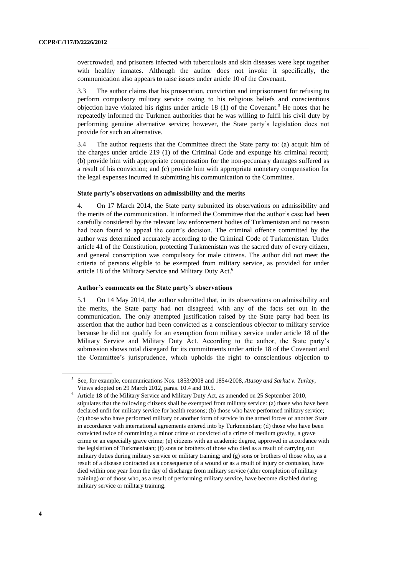overcrowded, and prisoners infected with tuberculosis and skin diseases were kept together with healthy inmates. Although the author does not invoke it specifically, the communication also appears to raise issues under article 10 of the Covenant.

3.3 The author claims that his prosecution, conviction and imprisonment for refusing to perform compulsory military service owing to his religious beliefs and conscientious objection have violated his rights under article 18 (1) of the Covenant.<sup>5</sup> He notes that he repeatedly informed the Turkmen authorities that he was willing to fulfil his civil duty by performing genuine alternative service; however, the State party's legislation does not provide for such an alternative.

3.4 The author requests that the Committee direct the State party to: (a) acquit him of the charges under article 219 (1) of the Criminal Code and expunge his criminal record; (b) provide him with appropriate compensation for the non-pecuniary damages suffered as a result of his conviction; and (c) provide him with appropriate monetary compensation for the legal expenses incurred in submitting his communication to the Committee.

#### **State party's observations on admissibility and the merits**

4. On 17 March 2014, the State party submitted its observations on admissibility and the merits of the communication. It informed the Committee that the author's case had been carefully considered by the relevant law enforcement bodies of Turkmenistan and no reason had been found to appeal the court's decision. The criminal offence committed by the author was determined accurately according to the Criminal Code of Turkmenistan. Under article 41 of the Constitution, protecting Turkmenistan was the sacred duty of every citizen, and general conscription was compulsory for male citizens. The author did not meet the criteria of persons eligible to be exempted from military service, as provided for under article 18 of the Military Service and Military Duty Act. 6

### **Author's comments on the State party's observations**

5.1 On 14 May 2014, the author submitted that, in its observations on admissibility and the merits, the State party had not disagreed with any of the facts set out in the communication. The only attempted justification raised by the State party had been its assertion that the author had been convicted as a conscientious objector to military service because he did not qualify for an exemption from military service under article 18 of the Military Service and Military Duty Act. According to the author, the State party's submission shows total disregard for its commitments under article 18 of the Covenant and the Committee's jurisprudence, which upholds the right to conscientious objection to

<sup>5</sup> See, for example, communications Nos. 1853/2008 and 1854/2008, *Atasoy and Sarkut v. Turkey*, Views adopted on 29 March 2012, paras. 10.4 and 10.5.

<sup>6</sup> Article 18 of the Military Service and Military Duty Act, as amended on 25 September 2010, stipulates that the following citizens shall be exempted from military service: (a) those who have been declared unfit for military service for health reasons; (b) those who have performed military service; (c) those who have performed military or another form of service in the armed forces of another State in accordance with international agreements entered into by Turkmenistan; (d) those who have been convicted twice of committing a minor crime or convicted of a crime of medium gravity, a grave crime or an especially grave crime; (e) citizens with an academic degree, approved in accordance with the legislation of Turkmenistan; (f) sons or brothers of those who died as a result of carrying out military duties during military service or military training; and (g) sons or brothers of those who, as a result of a disease contracted as a consequence of a wound or as a result of injury or contusion, have died within one year from the day of discharge from military service (after completion of military training) or of those who, as a result of performing military service, have become disabled during military service or military training.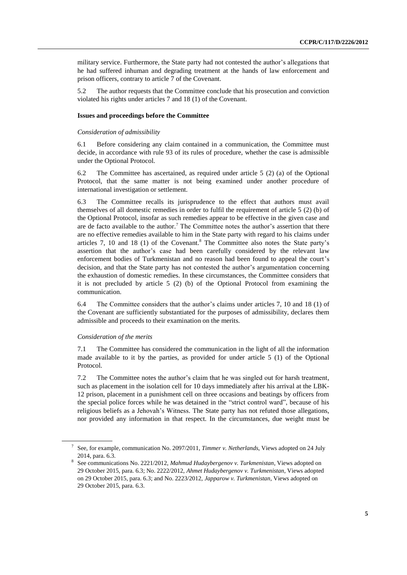military service. Furthermore, the State party had not contested the author's allegations that he had suffered inhuman and degrading treatment at the hands of law enforcement and prison officers, contrary to article 7 of the Covenant.

5.2 The author requests that the Committee conclude that his prosecution and conviction violated his rights under articles 7 and 18 (1) of the Covenant.

### **Issues and proceedings before the Committee**

#### *Consideration of admissibility*

6.1 Before considering any claim contained in a communication, the Committee must decide, in accordance with rule 93 of its rules of procedure, whether the case is admissible under the Optional Protocol.

6.2 The Committee has ascertained, as required under article 5 (2) (a) of the Optional Protocol, that the same matter is not being examined under another procedure of international investigation or settlement.

6.3 The Committee recalls its jurisprudence to the effect that authors must avail themselves of all domestic remedies in order to fulfil the requirement of article 5 (2) (b) of the Optional Protocol, insofar as such remedies appear to be effective in the given case and are de facto available to the author.<sup>7</sup> The Committee notes the author's assertion that there are no effective remedies available to him in the State party with regard to his claims under articles 7, 10 and 18 (1) of the Covenant. <sup>8</sup> The Committee also notes the State party's assertion that the author's case had been carefully considered by the relevant law enforcement bodies of Turkmenistan and no reason had been found to appeal the court's decision, and that the State party has not contested the author's argumentation concerning the exhaustion of domestic remedies. In these circumstances, the Committee considers that it is not precluded by article 5 (2) (b) of the Optional Protocol from examining the communication.

6.4 The Committee considers that the author's claims under articles 7, 10 and 18 (1) of the Covenant are sufficiently substantiated for the purposes of admissibility, declares them admissible and proceeds to their examination on the merits.

#### *Consideration of the merits*

7.1 The Committee has considered the communication in the light of all the information made available to it by the parties, as provided for under article 5 (1) of the Optional Protocol.

7.2 The Committee notes the author's claim that he was singled out for harsh treatment, such as placement in the isolation cell for 10 days immediately after his arrival at the LBK-12 prison, placement in a punishment cell on three occasions and beatings by officers from the special police forces while he was detained in the "strict control ward", because of his religious beliefs as a Jehovah's Witness. The State party has not refuted those allegations, nor provided any information in that respect. In the circumstances, due weight must be

<sup>7</sup> See, for example, communication No. 2097/2011, *Timmer v. Netherlands*, Views adopted on 24 July 2014, para. 6.3.

<sup>8</sup> See communications No. 2221/2012, *Mahmud Hudaybergenov v. Turkmenistan*, Views adopted on 29 October 2015, para. 6.3; No. 2222/2012, *Ahmet Hudaybergenov v. Turkmenistan*, Views adopted on 29 October 2015, para. 6.3; and No. 2223/2012, *Japparow v. Turkmenistan*, Views adopted on 29 October 2015, para. 6.3.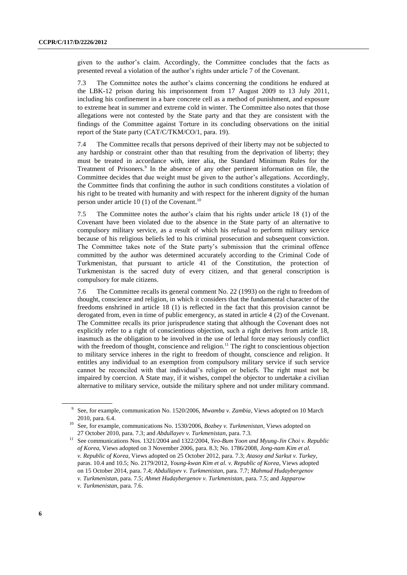given to the author's claim. Accordingly, the Committee concludes that the facts as presented reveal a violation of the author's rights under article 7 of the Covenant.

7.3 The Committee notes the author's claims concerning the conditions he endured at the LBK-12 prison during his imprisonment from 17 August 2009 to 13 July 2011, including his confinement in a bare concrete cell as a method of punishment, and exposure to extreme heat in summer and extreme cold in winter. The Committee also notes that those allegations were not contested by the State party and that they are consistent with the findings of the Committee against Torture in its concluding observations on the initial report of the State party (CAT/C/TKM/CO/1, para. 19).

7.4 The Committee recalls that persons deprived of their liberty may not be subjected to any hardship or constraint other than that resulting from the deprivation of liberty; they must be treated in accordance with, inter alia, the Standard Minimum Rules for the Treatment of Prisoners. 9 In the absence of any other pertinent information on file, the Committee decides that due weight must be given to the author's allegations. Accordingly, the Committee finds that confining the author in such conditions constitutes a violation of his right to be treated with humanity and with respect for the inherent dignity of the human person under article 10 (1) of the Covenant.<sup>10</sup>

7.5 The Committee notes the author's claim that his rights under article 18 (1) of the Covenant have been violated due to the absence in the State party of an alternative to compulsory military service, as a result of which his refusal to perform military service because of his religious beliefs led to his criminal prosecution and subsequent conviction. The Committee takes note of the State party's submission that the criminal offence committed by the author was determined accurately according to the Criminal Code of Turkmenistan, that pursuant to article 41 of the Constitution, the protection of Turkmenistan is the sacred duty of every citizen, and that general conscription is compulsory for male citizens.

7.6 The Committee recalls its general comment No. 22 (1993) on the right to freedom of thought, conscience and religion, in which it considers that the fundamental character of the freedoms enshrined in article 18 (1) is reflected in the fact that this provision cannot be derogated from, even in time of public emergency, as stated in article 4 (2) of the Covenant. The Committee recalls its prior jurisprudence stating that although the Covenant does not explicitly refer to a right of conscientious objection, such a right derives from article 18, inasmuch as the obligation to be involved in the use of lethal force may seriously conflict with the freedom of thought, conscience and religion.<sup>11</sup> The right to conscientious objection to military service inheres in the right to freedom of thought, conscience and religion. It entitles any individual to an exemption from compulsory military service if such service cannot be reconciled with that individual's religion or beliefs. The right must not be impaired by coercion. A State may, if it wishes, compel the objector to undertake a civilian alternative to military service, outside the military sphere and not under military command.

<sup>9</sup> See, for example, communication No. 1520/2006, *Mwamba v. Zambia*, Views adopted on 10 March 2010, para. 6.4.

<sup>10</sup> See, for example, communications No. 1530/2006, *Bozbey v. Turkmenistan*, Views adopted on 27 October 2010, para. 7.3; and *Abdullayev v. Turkmenistan*, para. 7.3.

<sup>11</sup> See communications Nos. 1321/2004 and 1322/2004, *Yeo-Bum Yoon and Myung-Jin Choi v. Republic of Korea*, Views adopted on 3 November 2006, para. 8.3; No. 1786/2008, *Jong-nam Kim et al. v. Republic of Korea*, Views adopted on 25 October 2012, para. 7.3; *Atasoy and Sarkut v. Turkey*, paras. 10.4 and 10.5; No. 2179/2012, *Young-kwan Kim et al. v. Republic of Korea*, Views adopted on 15 October 2014, para. 7.4; *Abdullayev v. Turkmenistan*, para. 7.7; *Mahmud Hudaybergenov v. Turkmenistan*, para. 7.5; *Ahmet Hudaybergenov v. Turkmenistan*, para. 7.5; and *Japparow* 

*v. Turkmenistan*, para. 7.6.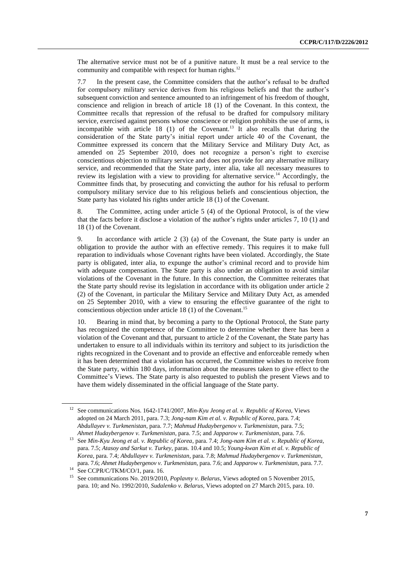The alternative service must not be of a punitive nature. It must be a real service to the community and compatible with respect for human rights.<sup>12</sup>

7.7 In the present case, the Committee considers that the author's refusal to be drafted for compulsory military service derives from his religious beliefs and that the author's subsequent conviction and sentence amounted to an infringement of his freedom of thought, conscience and religion in breach of article 18 (1) of the Covenant. In this context, the Committee recalls that repression of the refusal to be drafted for compulsory military service, exercised against persons whose conscience or religion prohibits the use of arms, is incompatible with article  $18$  (1) of the Covenant.<sup>13</sup> It also recalls that during the consideration of the State party's initial report under article 40 of the Covenant, the Committee expressed its concern that the Military Service and Military Duty Act, as amended on 25 September 2010, does not recognize a person's right to exercise conscientious objection to military service and does not provide for any alternative military service, and recommended that the State party, inter alia, take all necessary measures to review its legislation with a view to providing for alternative service.<sup>14</sup> Accordingly, the Committee finds that, by prosecuting and convicting the author for his refusal to perform compulsory military service due to his religious beliefs and conscientious objection, the State party has violated his rights under article 18 (1) of the Covenant.

8. The Committee, acting under article 5 (4) of the Optional Protocol, is of the view that the facts before it disclose a violation of the author's rights under articles 7, 10 (1) and 18 (1) of the Covenant.

9. In accordance with article 2 (3) (a) of the Covenant, the State party is under an obligation to provide the author with an effective remedy. This requires it to make full reparation to individuals whose Covenant rights have been violated. Accordingly, the State party is obligated, inter alia, to expunge the author's criminal record and to provide him with adequate compensation. The State party is also under an obligation to avoid similar violations of the Covenant in the future. In this connection, the Committee reiterates that the State party should revise its legislation in accordance with its obligation under article 2 (2) of the Covenant, in particular the Military Service and Military Duty Act, as amended on 25 September 2010, with a view to ensuring the effective guarantee of the right to conscientious objection under article 18 (1) of the Covenant. 15

10. Bearing in mind that, by becoming a party to the Optional Protocol, the State party has recognized the competence of the Committee to determine whether there has been a violation of the Covenant and that, pursuant to article 2 of the Covenant, the State party has undertaken to ensure to all individuals within its territory and subject to its jurisdiction the rights recognized in the Covenant and to provide an effective and enforceable remedy when it has been determined that a violation has occurred, the Committee wishes to receive from the State party, within 180 days, information about the measures taken to give effect to the Committee's Views. The State party is also requested to publish the present Views and to have them widely disseminated in the official language of the State party.

<sup>12</sup> See communications Nos. 1642-1741/2007, *Min-Kyu Jeong et al. v. Republic of Korea*, Views adopted on 24 March 2011, para. 7.3; *Jong-nam Kim et al. v. Republic of Korea*, para. 7.4; *Abdullayev v. Turkmenistan*, para. 7.7; *Mahmud Hudaybergenov v. Turkmenistan*, para. 7.5; *Ahmet Hudaybergenov v. Turkmenistan*, para. 7.5; and *Japparow v. Turkmenistan*, para. 7.6.

<sup>13</sup> See *Min-Kyu Jeong et al. v. Republic of Korea*, para. 7.4; *Jong-nam Kim et al. v. Republic of Korea*, para. 7.5; *Atasoy and Sarkut v. Turkey*, paras. 10.4 and 10.5; *Young-kwan Kim et al. v. Republic of Korea*, para. 7.4; *Abdullayev v. Turkmenistan*, para. 7.8; *Mahmud Hudaybergenov v. Turkmenistan*, para. 7.6; *Ahmet Hudaybergenov v. Turkmenistan*, para. 7.6; and *Japparow v. Turkmenistan*, para. 7.7.

<sup>&</sup>lt;sup>14</sup> See CCPR/C/TKM/CO/1, para. 16.<br><sup>15</sup> See communications No. 2010/2014

<sup>15</sup> See communications No. 2019/2010, *Poplavny v. Belarus*, Views adopted on 5 November 2015, para. 10; and No. 1992/2010, *Sudalenko v. Belarus*, Views adopted on 27 March 2015, para. 10.